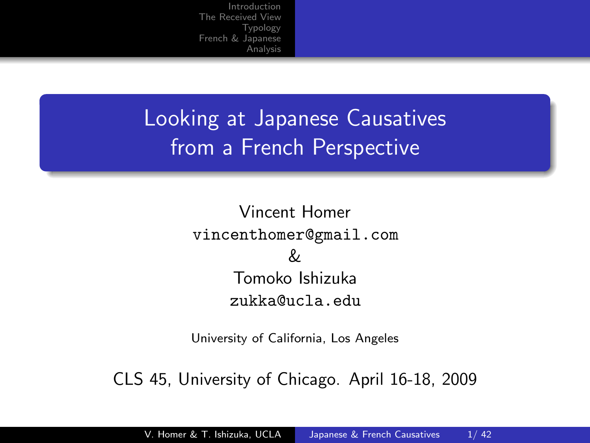Looking at Japanese Causatives from a French Perspective

> Vincent Homer vincenthomer@gmail.com & Tomoko Ishizuka zukka@ucla.edu

> <span id="page-0-0"></span>University of California, Los Angeles

CLS 45, University of Chicago. April 16-18, 2009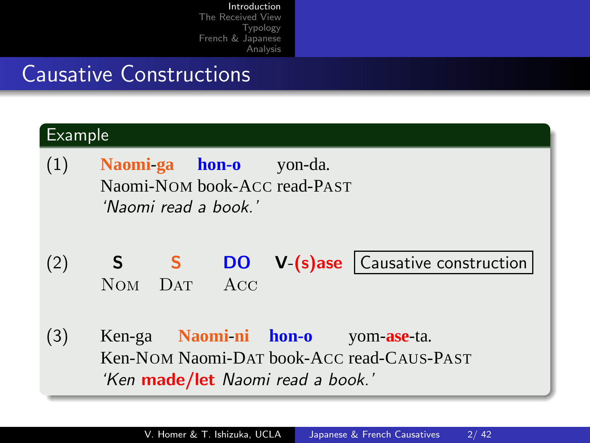### Causative Constructions

<span id="page-1-0"></span>

| Example |                                                                                                                                    |  |  |
|---------|------------------------------------------------------------------------------------------------------------------------------------|--|--|
| (1)     | Naomi-ga hon-o<br>yon-da.<br>Naomi-NOM book-ACC read-PAST<br>'Naomi read a book.'                                                  |  |  |
| (2)     | <b>DO</b> V-(s)ase Causative construction<br><sub>S</sub><br>S<br>ACC<br>N <sub>OM</sub><br><b>DAT</b>                             |  |  |
| (3)     | Naomi-ni hon-o<br>Ken-ga<br>yom- <b>ase</b> -ta.<br>Ken-NOM Naomi-DAT book-ACC read-CAUS-PAST<br>'Ken made/let Naomi read a book.' |  |  |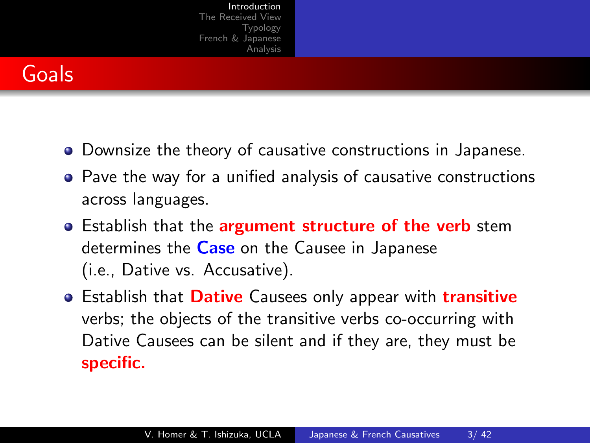

- Downsize the theory of causative constructions in Japanese.
- **•** Pave the way for a unified analysis of causative constructions across languages.
- **•** Establish that the **argument structure of the verb** stem determines the Case on the Causee in Japanese (i.e., Dative vs. Accusative).
- **•** Establish that **Dative** Causees only appear with **transitive** verbs; the objects of the transitive verbs co-occurring with Dative Causees can be silent and if they are, they must be specific.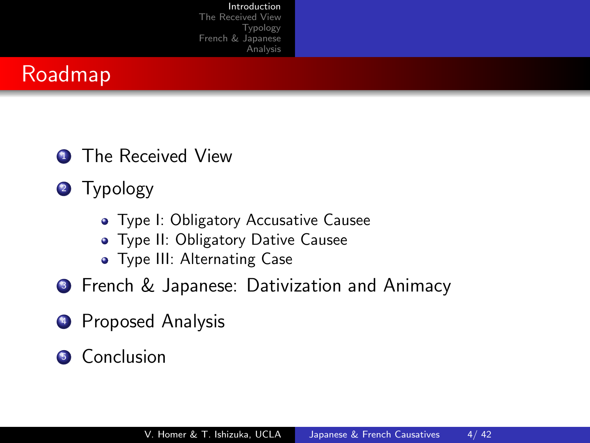

- **1** The Received View
- 2 Typology
	- Type I: Obligatory Accusative Causee
	- **Type II: Obligatory Dative Causee**
	- **•** Type III: Alternating Case
- **3** French & Japanese: Dativization and Animacy
- <sup>4</sup> Proposed Analysis
- **5** Conclusion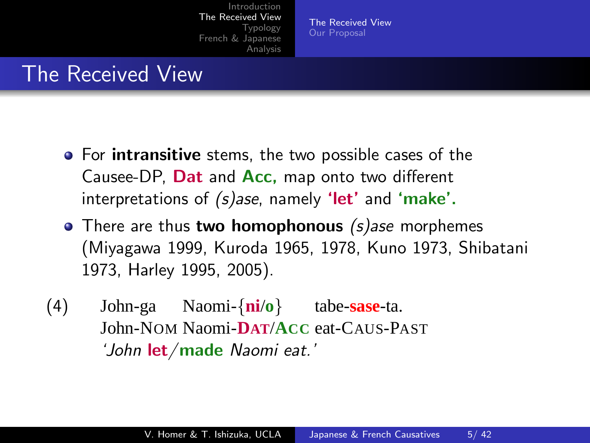[The Received View](#page-4-0) [Our Proposal](#page-9-0)

#### The Received View

- **For intransitive** stems, the two possible cases of the Causee-DP, Dat and Acc, map onto two different interpretations of  $(s)$ ase, namely 'let' and 'make'.
- $\bullet$  There are thus two homophonous (s)ase morphemes (Miyagawa 1999, Kuroda 1965, 1978, Kuno 1973, Shibatani 1973, Harley 1995, 2005).
- <span id="page-4-0"></span>(4) John-ga John-NOM Naomi-**DAT**/**ACC** eat-CAUS-PAST Naomi-{**ni**/**o**} tabe-**sase**-ta. 'John let/made Naomi eat.'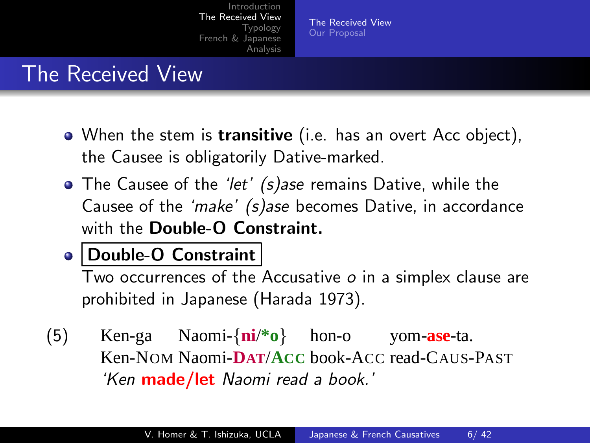[The Received View](#page-4-0) [Our Proposal](#page-9-0)

#### The Received View

- When the stem is transitive (i.e. has an overt Acc object), the Causee is obligatorily Dative-marked.
- The Causee of the 'let' (s)ase remains Dative, while the Causee of the 'make' (s)ase becomes Dative, in accordance with the Double-O Constraint.

#### Double-O Constraint

Two occurrences of the Accusative  $o$  in a simplex clause are prohibited in Japanese (Harada 1973).

(5) Ken-ga Ken-NOM Naomi-**DAT**/**ACC** book-ACC read-CAUS-PAST Naomi-{**ni**/**\*o**} hon-o yom-**ase**-ta. 'Ken made/let Naomi read a book.'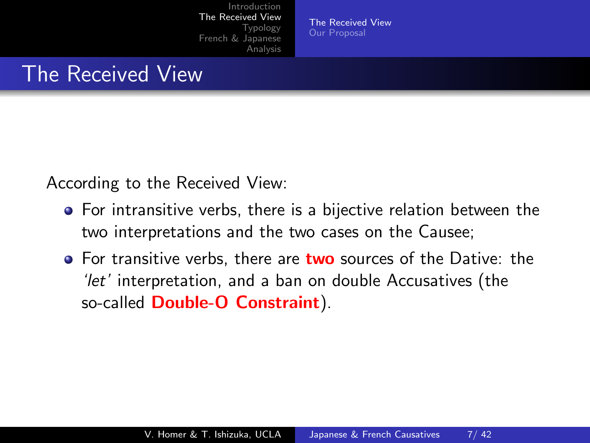[The Received View](#page-4-0) [Our Proposal](#page-9-0)

#### The Received View

According to the Received View:

- For intransitive verbs, there is a bijective relation between the two interpretations and the two cases on the Causee;
- **•** For transitive verbs, there are **two** sources of the Dative: the 'let' interpretation, and a ban on double Accusatives (the so-called Double-O Constraint).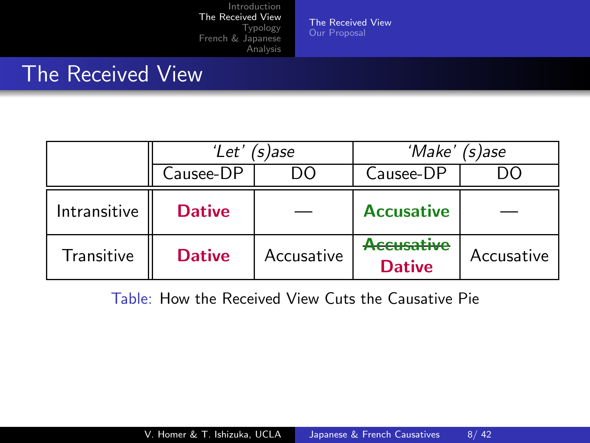[The Received View](#page-4-0) [Our Proposal](#page-9-0)

#### The Received View

|              | 'Let'<br>´s)ase |            | 'Make'<br>$(s)$ ase                |            |
|--------------|-----------------|------------|------------------------------------|------------|
|              | Causee-DP       |            | Causee-DP                          |            |
| Intransitive | <b>Dative</b>   |            | <b>Accusative</b>                  |            |
| Transitive   | <b>Dative</b>   | Accusative | <b>Accusative</b><br><b>Dative</b> | Accusative |

Table: How the Received View Cuts the Causative Pie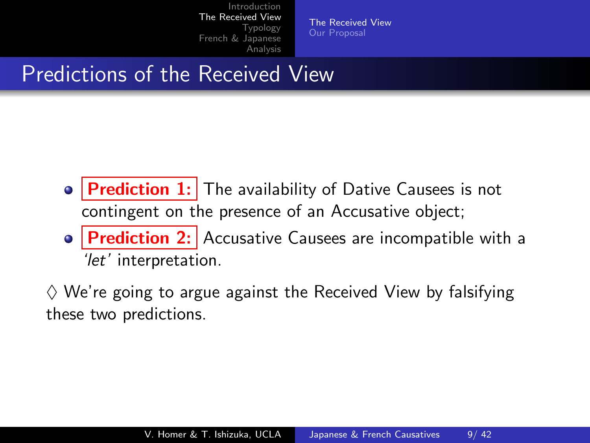[The Received View](#page-4-0) [Our Proposal](#page-9-0)

## Predictions of the Received View

- **Prediction 1:** The availability of Dative Causees is not contingent on the presence of an Accusative object;
- Prediction 2: Accusative Causees are incompatible with a 'let' interpretation.

 $\diamondsuit$  We're going to argue against the Received View by falsifying these two predictions.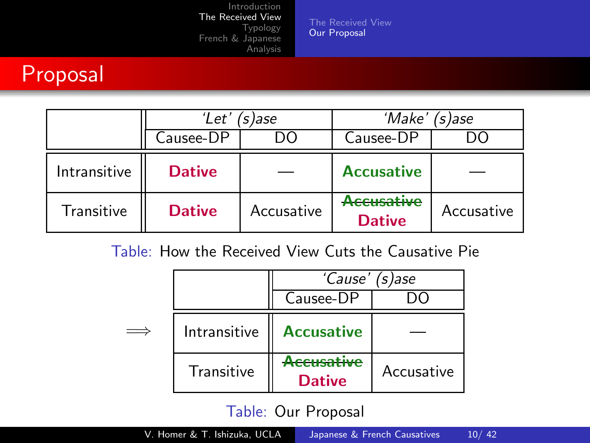[The Received View](#page-4-0) [Our Proposal](#page-9-0)

#### Proposal

|              | 'Let'<br>'s )ase |            | 'Make' (s)ase                          |            |
|--------------|------------------|------------|----------------------------------------|------------|
|              | Causee-DP        |            | Causee-DP                              |            |
| Intransitive | <b>Dative</b>    |            | <b>Accusative</b>                      |            |
| Transitive   | <b>Dative</b>    | Accusative | <del>Accusative</del><br><b>Dative</b> | Accusative |

#### Table: How the Received View Cuts the Causative Pie

|              | 'Cause' (s)ase              |            |
|--------------|-----------------------------|------------|
|              | Causee-DP                   |            |
| Intransitive | <b>Accusative</b>           |            |
| Transitive   | Accusative<br><b>Dative</b> | Accusative |

#### <span id="page-9-0"></span>Table: Our Proposal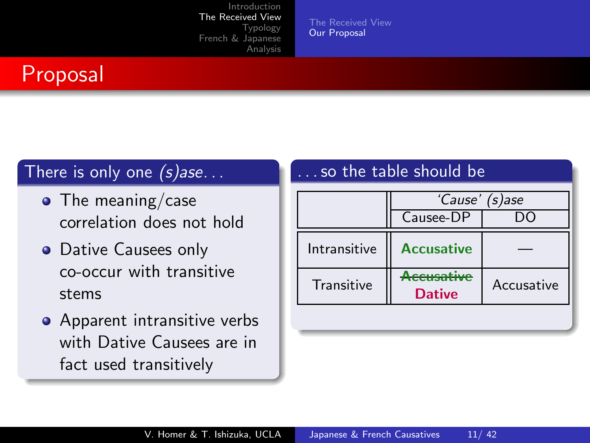[The Received View](#page-4-0) [Our Proposal](#page-9-0)

#### Proposal

#### There is only one  $(s)$ ase...

- $\bullet$  The meaning/case correlation does not hold
- Dative Causees only co-occur with transitive stems
- Apparent intransitive verbs with Dative Causees are in fact used transitively

#### . so the table should be

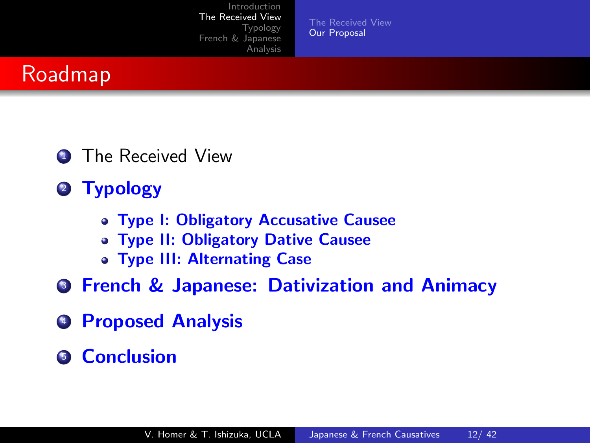[The Received View](#page-4-0) [Our Proposal](#page-9-0)

## Roadmap

- **1** The Received View
- 2 Typology
	- Type I: Obligatory Accusative Causee
	- Type II: Obligatory Dative Causee
	- Type III: Alternating Case
- **3 French & Japanese: Dativization and Animacy**
- **4 Proposed Analysis**
- **6** Conclusion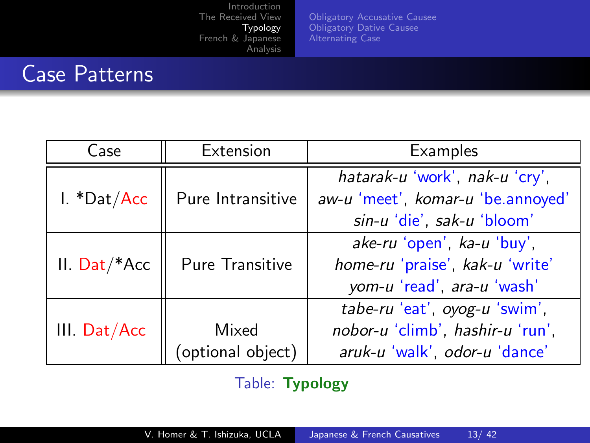[Obligatory Accusative Causee](#page-13-0) [Obligatory Dative Causee](#page-22-0) [Alternating Case](#page-25-0)

## Case Patterns

| Case               | Extension         | <b>Examples</b>                   |
|--------------------|-------------------|-----------------------------------|
|                    |                   | hatarak-u 'work', nak-u 'cry',    |
| I. *Dat/Acc        | Pure Intransitive | aw-u 'meet', komar-u 'be.annoyed' |
|                    |                   | sin-u 'die', sak-u 'bloom'        |
|                    |                   | ake-ru 'open', ka-u 'buy',        |
| $II.$ Dat/ $*$ Acc | Pure Transitive   | home-ru 'praise', kak-u 'write'   |
|                    |                   | yom-u 'read', ara-u 'wash'        |
|                    |                   | tabe-ru 'eat', oyog-u 'swim',     |
| III. Dat/Acc       | Mixed             | nobor-u 'climb', hashir-u 'run',  |
|                    | (optional object) | aruk-u 'walk', odor-u 'dance'     |

<span id="page-12-0"></span>Table: Typology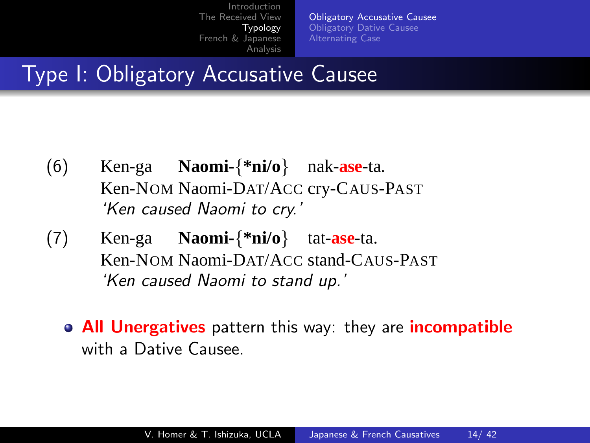[Obligatory Accusative Causee](#page-13-0) [Obligatory Dative Causee](#page-22-0) [Alternating Case](#page-25-0)

### Type I: Obligatory Accusative Causee

- (6) Ken-ga Ken-NOM Naomi-DAT/ACC cry-CAUS-PAST **Naomi-**{**\*ni/o**} nak-**ase**-ta. 'Ken caused Naomi to cry.'
- <span id="page-13-0"></span>(7) Ken-ga Ken-NOM Naomi-DAT/ACC stand-CAUS-PAST **Naomi-**{**\*ni/o**} tat-**ase**-ta. 'Ken caused Naomi to stand up.'
	- All Unergatives pattern this way: they are incompatible with a Dative Causee.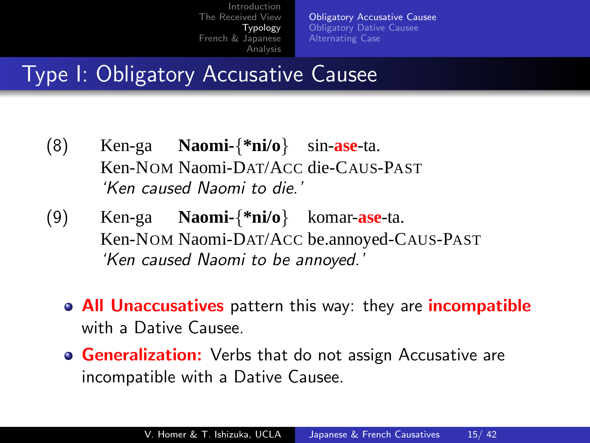[Obligatory Accusative Causee](#page-13-0) [Obligatory Dative Causee](#page-22-0) [Alternating Case](#page-25-0)

## Type I: Obligatory Accusative Causee

- (8) Ken-ga Ken-NOM Naomi-DAT/ACC die-CAUS-PAST **Naomi-**{**\*ni/o**} sin-**ase**-ta. 'Ken caused Naomi to die.'
- (9) Ken-ga Ken-NOM Naomi-DAT/ACC be.annoyed-CAUS-PAST **Naomi-**{**\*ni/o**} komar-**ase**-ta. 'Ken caused Naomi to be annoyed.'
	- **All Unaccusatives** pattern this way: they are **incompatible** with a Dative Causee.
	- **Generalization:** Verbs that do not assign Accusative are incompatible with a Dative Causee.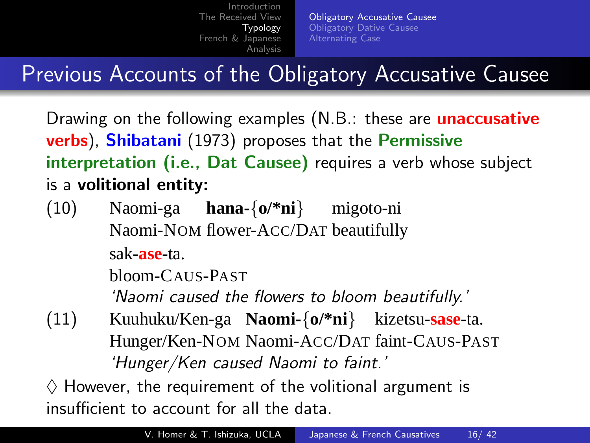[Obligatory Accusative Causee](#page-13-0) [Obligatory Dative Causee](#page-22-0) [Alternating Case](#page-25-0)

# Previous Accounts of the Obligatory Accusative Causee

Drawing on the following examples (N.B.: these are **unaccusative** verbs), Shibatani (1973) proposes that the Permissive interpretation (i.e., Dat Causee) requires a verb whose subject is a volitional entity:

(10) Naomi-ga **hana-**{**o/\*ni**} Naomi-NOM flower-ACC/DAT beautifully migoto-ni sak-**ase**-ta.

bloom-CAUS-PAST

'Naomi caused the flowers to bloom beautifully.'

(11) Kuuhuku/Ken-ga **Naomi-**{**o/\*ni**} kizetsu-**sase**-ta. Hunger/Ken-NOM Naomi-ACC/DAT faint-CAUS-PAST 'Hunger/Ken caused Naomi to faint.'

 $\diamondsuit$  However, the requirement of the volitional argument is insufficient to account for all the data.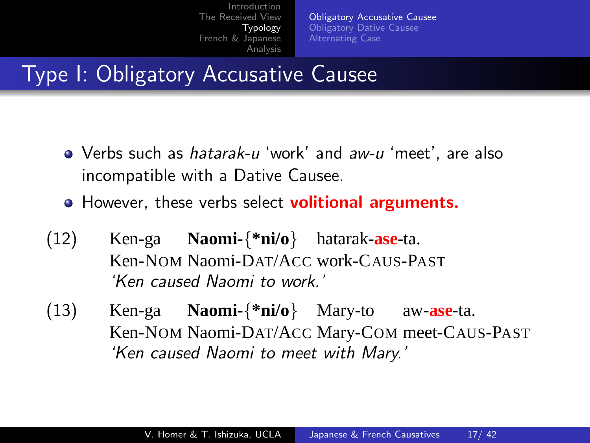[Obligatory Accusative Causee](#page-13-0) [Obligatory Dative Causee](#page-22-0) [Alternating Case](#page-25-0)

## Type I: Obligatory Accusative Causee

- Verbs such as *hatarak-u* 'work' and aw-u 'meet', are also incompatible with a Dative Causee.
- **•** However, these verbs select **volitional arguments.**
- (12) Ken-ga Ken-NOM Naomi-DAT/ACC work-CAUS-PAST **Naomi-**{**\*ni/o**} hatarak-**ase**-ta. 'Ken caused Naomi to work.'
- (13) Ken-ga Ken-NOM Naomi-DAT/ACC Mary-COM meet-CAUS-PAST **Naomi-**{**\*ni/o**} Mary-to aw-**ase**-ta. 'Ken caused Naomi to meet with Mary.'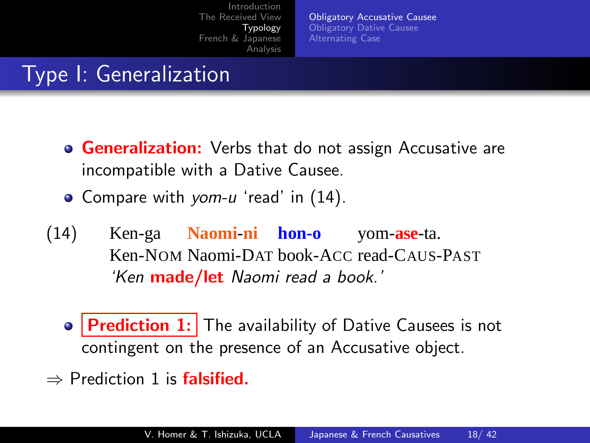<span id="page-17-0"></span>[Obligatory Accusative Causee](#page-13-0) [Obligatory Dative Causee](#page-22-0) [Alternating Case](#page-25-0)

# Type I: Generalization

- **Generalization:** Verbs that do not assign Accusative are incompatible with a Dative Causee.
- Compare with yom-u 'read' in [\(14\).](#page-17-0)
- (14) Ken-ga **Naomi**-**ni hon-o** Ken-NOM Naomi-DAT book-ACC read-CAUS-PAST yom-**ase**-ta. 'Ken made/let Naomi read a book.'
	- $\bullet$  **Prediction 1:** The availability of Dative Causees is not contingent on the presence of an Accusative object.
- $\Rightarrow$  Prediction 1 is **falsified.**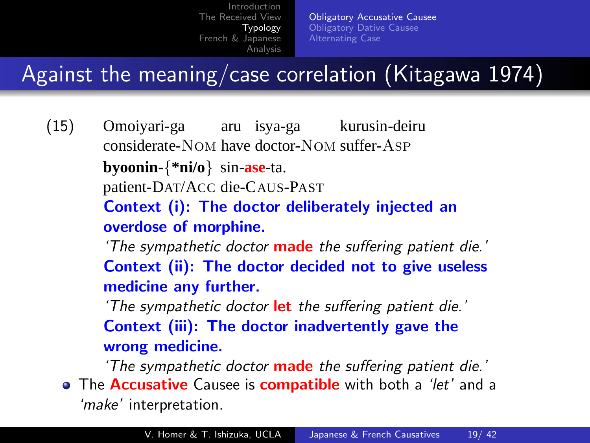[Obligatory Accusative Causee](#page-13-0) [Obligatory Dative Causee](#page-22-0) [Alternating Case](#page-25-0)

## Against the meaning/case correlation (Kitagawa 1974)

- (15) Omoiyari-ga aru isya-ga kurusin-deiru considerate-Nom have doctor-Nom suffer-Asp **byoonin-**{**\*ni/o**} sin-**ase**-ta. patient-DAT/ACC die-CAUS-PAST Context (i): The doctor deliberately injected an overdose of morphine. 'The sympathetic doctor **made** the suffering patient die.' Context (ii): The doctor decided not to give useless medicine any further. 'The sympathetic doctor let the suffering patient die.' Context (iii): The doctor inadvertently gave the wrong medicine. 'The sympathetic doctor **made** the suffering patient die.' • The **Accusative** Causee is **compatible** with both a 'let' and a
	- 'make' interpretation.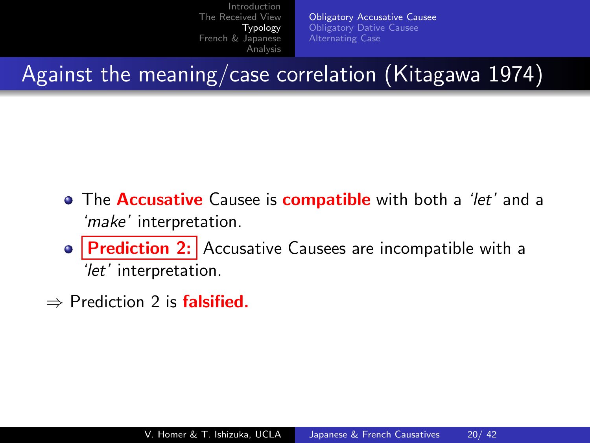[Obligatory Accusative Causee](#page-13-0) [Obligatory Dative Causee](#page-22-0) [Alternating Case](#page-25-0)

Against the meaning/case correlation (Kitagawa 1974)

- **•** The **Accusative** Causee is **compatible** with both a 'let' and a 'make' interpretation.
- Prediction 2: Accusative Causees are incompatible with a 'let' interpretation.
- $\Rightarrow$  Prediction 2 is **falsified.**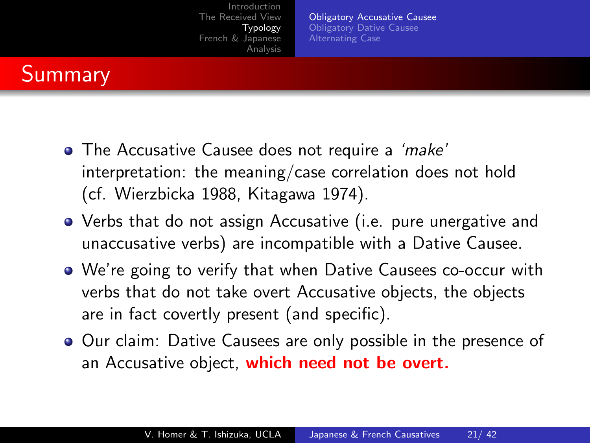[Obligatory Accusative Causee](#page-13-0) [Obligatory Dative Causee](#page-22-0) [Alternating Case](#page-25-0)

## **Summary**

- The Accusative Causee does not require a 'make' interpretation: the meaning/case correlation does not hold (cf. Wierzbicka 1988, Kitagawa 1974).
- Verbs that do not assign Accusative (i.e. pure unergative and unaccusative verbs) are incompatible with a Dative Causee.
- We're going to verify that when Dative Causees co-occur with verbs that do not take overt Accusative objects, the objects are in fact covertly present (and specific).
- **Our claim: Dative Causees are only possible in the presence of** an Accusative object, which need not be overt.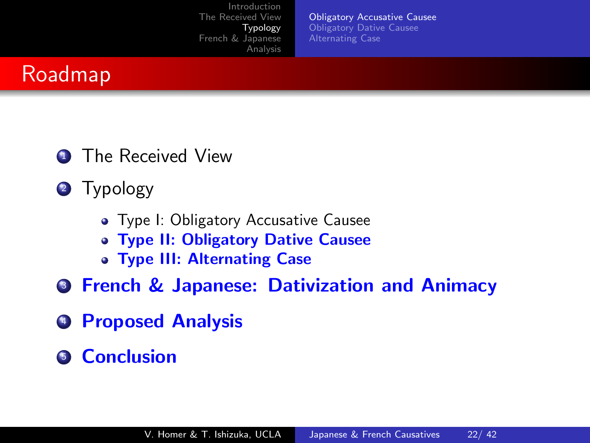[Obligatory Accusative Causee](#page-13-0) [Obligatory Dative Causee](#page-22-0) [Alternating Case](#page-25-0)



- **1** The Received View
- 2 Typology
	- Type I: Obligatory Accusative Causee
	- Type II: Obligatory Dative Causee
	- Type III: Alternating Case
- **3 French & Japanese: Dativization and Animacy**
- **4 Proposed Analysis**
- **6** Conclusion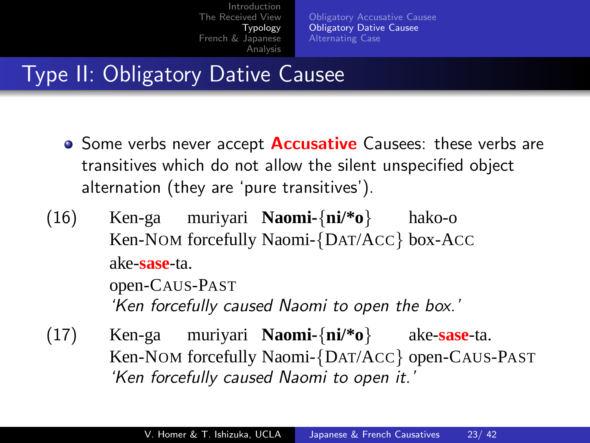[Obligatory Accusative Causee](#page-13-0) [Obligatory Dative Causee](#page-22-0) [Alternating Case](#page-25-0)

## Type II: Obligatory Dative Causee

- Some verbs never accept **Accusative** Causees: these verbs are transitives which do not allow the silent unspecified object alternation (they are 'pure transitives').
- (16) Ken-ga muriyari **Naomi-**{**ni/\*o**} Ken-NOM forcefully Naomi-{DAT/ACC} box-ACC hako-o ake-**sase**-ta. open-CAUS-PAST

<span id="page-22-0"></span>'Ken forcefully caused Naomi to open the box.'

(17) Ken-ga Ken-NOM forcefully Naomi-{DAT/ACC} open-CAUS-PAST muriyari **Naomi-**{**ni/\*o**} ake-**sase**-ta. 'Ken forcefully caused Naomi to open it.'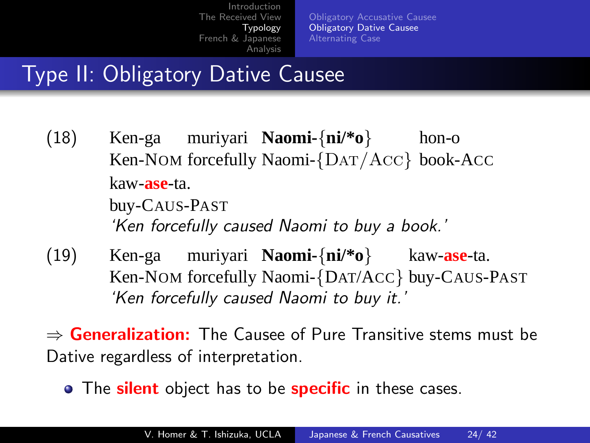[Obligatory Accusative Causee](#page-13-0) [Obligatory Dative Causee](#page-22-0) [Alternating Case](#page-25-0)

## Type II: Obligatory Dative Causee

(18) Ken-ga muriyari **Naomi-**{**ni/\*o**} Ken-NOM forcefully Naomi-{Dat/Acc} book-ACC hon-o kaw-**ase**-ta. buy-CAUS-PAST

'Ken forcefully caused Naomi to buy a book.'

(19) Ken-ga Ken-NOM forcefully Naomi-{DAT/ACC} buy-CAUS-PAST muriyari **Naomi-**{**ni/\*o**} kaw-**ase**-ta. 'Ken forcefully caused Naomi to buy it.'

 $\Rightarrow$  Generalization: The Causee of Pure Transitive stems must be Dative regardless of interpretation.

• The silent object has to be specific in these cases.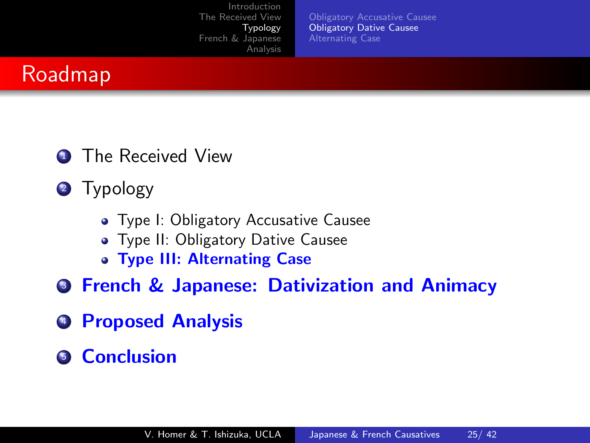[Obligatory Accusative Causee](#page-13-0) [Obligatory Dative Causee](#page-22-0) [Alternating Case](#page-25-0)



- **1** The Received View
- 2 Typology
	- Type I: Obligatory Accusative Causee
	- **Type II: Obligatory Dative Causee**
	- Type III: Alternating Case
- **3 French & Japanese: Dativization and Animacy**
- **4 Proposed Analysis**
- **6** Conclusion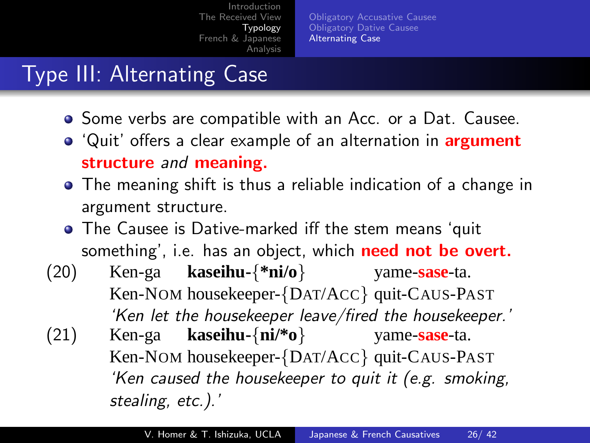[Obligatory Accusative Causee](#page-13-0) [Obligatory Dative Causee](#page-22-0) [Alternating Case](#page-25-0)

# Type III: Alternating Case

- **•** Some verbs are compatible with an Acc. or a Dat. Causee.
- 'Quit' offers a clear example of an alternation in **argument** structure and meaning.
- The meaning shift is thus a reliable indication of a change in argument structure.
- The Causee is Dative-marked iff the stem means 'quit something', i.e. has an object, which need not be overt.
- <span id="page-25-0"></span>(20) Ken-ga Ken-NOM housekeeper-{DAT/ACC} quit-CAUS-PAST **kaseihu-**{**\*ni/o**} yame-**sase**-ta. 'Ken let the housekeeper leave/fired the housekeeper.' (21) Ken-ga Ken-NOM housekeeper-{DAT/ACC} quit-CAUS-PAST **kaseihu-**{**ni/\*o**} yame-**sase**-ta. 'Ken caused the housekeeper to quit it (e.g. smoking, stealing, etc.).'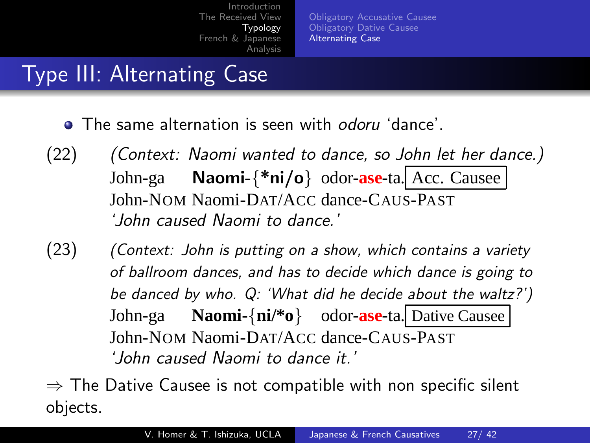[Obligatory Accusative Causee](#page-13-0) [Obligatory Dative Causee](#page-22-0) [Alternating Case](#page-25-0)

## Type III: Alternating Case

- **The same alternation is seen with odoru 'dance'**
- (22) (Context: Naomi wanted to dance, so John let her dance.) John-ga John-NOM Naomi-DAT/ACC dance-CAUS-PAST Naomi-{\*ni/o} odor-**ase**-ta. Acc. Causee 'John caused Naomi to dance.'
- (23) (Context: John is putting on a show, which contains a variety of ballroom dances, and has to decide which dance is going to be danced by who. Q: 'What did he decide about the waltz?') John-ga John-NOM Naomi-DAT/ACC dance-CAUS-PAST **Naomi-**{**ni/\*o**} odor-**ase**-ta. Dative Causee 'John caused Naomi to dance it.'

 $\Rightarrow$  The Dative Causee is not compatible with non specific silent objects.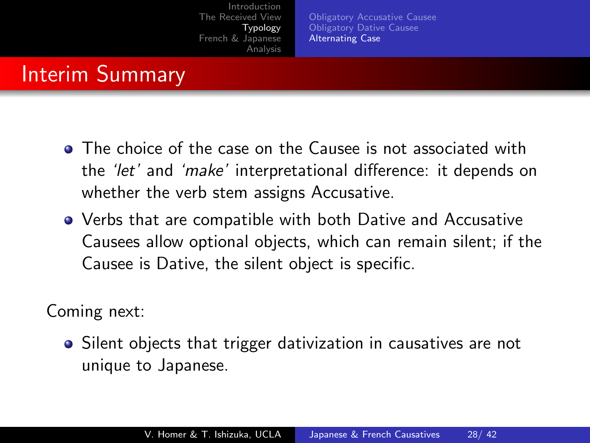[Obligatory Accusative Causee](#page-13-0) [Obligatory Dative Causee](#page-22-0) [Alternating Case](#page-25-0)

#### Interim Summary

- **•** The choice of the case on the Causee is not associated with the 'let' and 'make' interpretational difference: it depends on whether the verb stem assigns Accusative.
- Verbs that are compatible with both Dative and Accusative Causees allow optional objects, which can remain silent; if the Causee is Dative, the silent object is specific.

Coming next:

• Silent objects that trigger dativization in causatives are not unique to Japanese.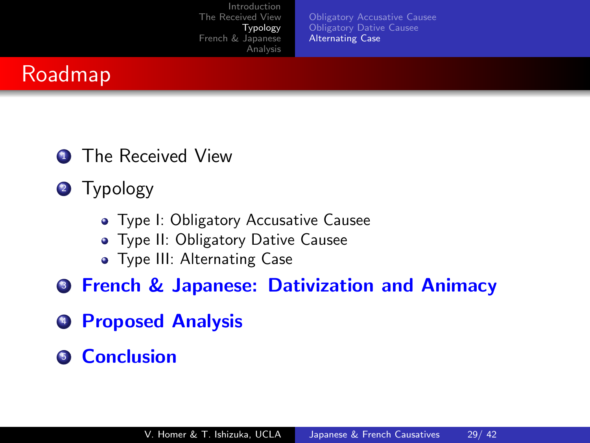[Obligatory Accusative Causee](#page-13-0) [Obligatory Dative Causee](#page-22-0) [Alternating Case](#page-25-0)



- **1** The Received View
- 2 Typology
	- Type I: Obligatory Accusative Causee
	- **Type II: Obligatory Dative Causee**
	- **•** Type III: Alternating Case
- **3 French & Japanese: Dativization and Animacy**
- **4 Proposed Analysis**
- **6** Conclusion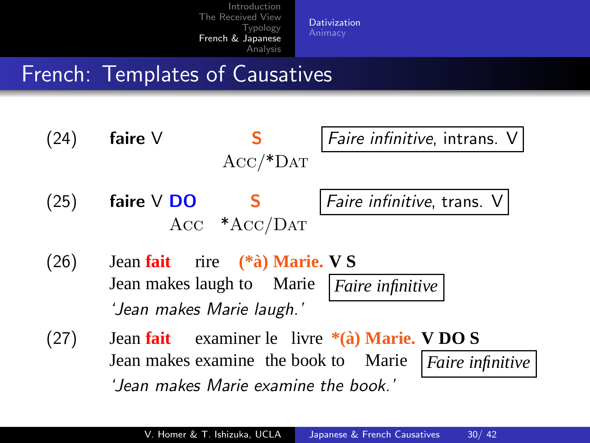[Dativization](#page-29-0)

## French: Templates of Causatives

(24) **faire** V **S Faire infinitive, intrans.**  $Acc/**DAT*$ 

 $(25)$  faire V DO S Faire infinitive, trans. V Acc \*Acc/Dat

<span id="page-29-0"></span>

- $(26)$ Jean makes laugh to Marie **fait** rire **(\*a)` Marie. V S** *Faire infinitive* 'Jean makes Marie laugh.'
- $(27)$ Jean makes examine the book to Marie Jean **fait** examiner le livre **\*(a)` Marie. V DO S** *Faire infinitive* 'Jean makes Marie examine the book.'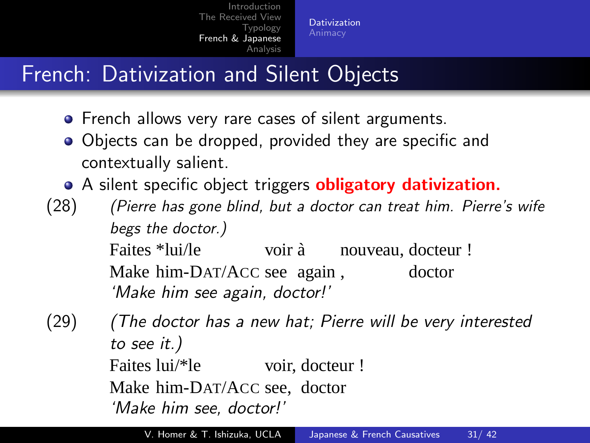[Dativization](#page-29-0)

## French: Dativization and Silent Objects

- **•** French allows very rare cases of silent arguments.
- Objects can be dropped, provided they are specific and contextually salient.
- A silent specific object triggers **obligatory dativization.**
- (28) (Pierre has gone blind, but a doctor can treat him. Pierre's wife begs the doctor.)

Faites \*lui/le Make him-DAT/ACC see again , voir à nouveau, docteur ! doctor 'Make him see again, doctor!'

(29) (The doctor has a new hat; Pierre will be very interested to see it.) Faites lui/\*le voir, docteur ! Make him-DAT/ACC see, doctor 'Make him see, doctor!'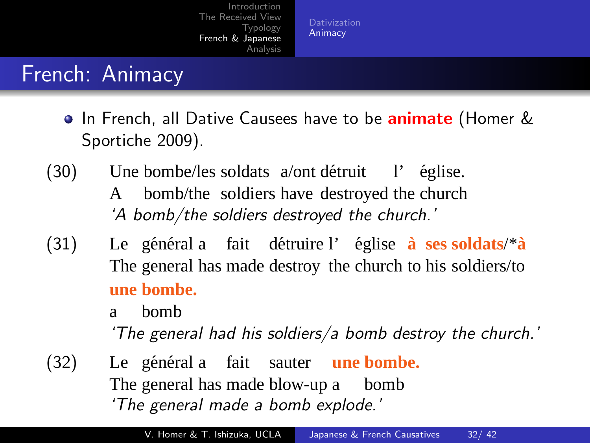[Animacy](#page-31-0)

### French: Animacy

- **•** In French, all Dative Causees have to be **animate** (Homer & Sportiche 2009).
- $(30)$ A bombe/les soldats a/ont détruit bomb/the soldiers have destroyed the church l' église. 'A bomb/the soldiers destroyed the church.'
- $(31)$ The general has made destroy the church to his soldiers/to général a fait détruire l'église à ses soldats/\*à **une bombe.**

a bomb

<span id="page-31-0"></span>'The general had his soldiers/a bomb destroy the church.'

 $(32)$ The general has made blow-up a général a fait sauter une bombe. bomb 'The general made a bomb explode.'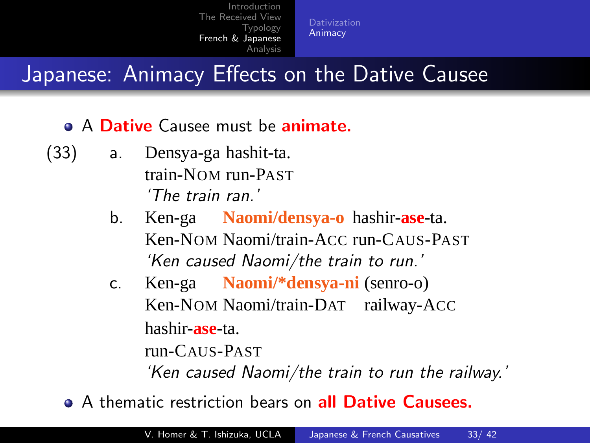[Animacy](#page-31-0)

## Japanese: Animacy Effects on the Dative Causee

- A Dative Causee must be animate.
- (33) a. Densya-ga hashit-ta. train-NOM run-PAST 'The train ran.'
	- b. Ken-ga **Naomi/densya-o** hashir-**ase**-ta. Ken-NOM Naomi/train-ACC run-CAUS-PAST 'Ken caused Naomi/the train to run.'
	- c. Ken-ga **Naomi/\*densya-ni** (senro-o) Ken-NOM Naomi/train-DAT railway-ACC hashir-**ase**-ta. run-CAUS-PAST 'Ken caused Naomi/the train to run the railway.'
	- A thematic restriction bears on all Dative Causees.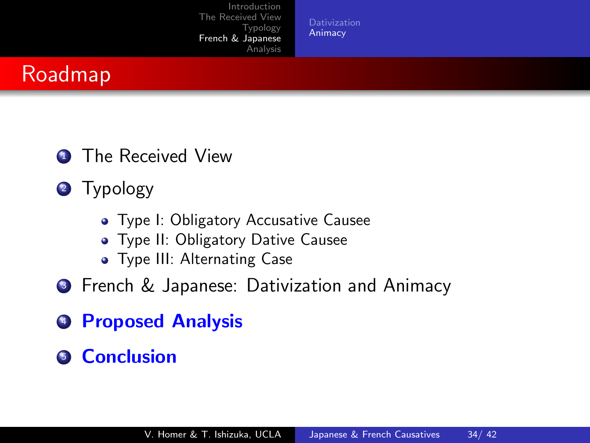[Animacy](#page-31-0)

## Roadmap

- **1** The Received View
- 2 Typology
	- Type I: Obligatory Accusative Causee
	- **Type II: Obligatory Dative Causee**
	- **•** Type III: Alternating Case
- **3** French & Japanese: Dativization and Animacy
- **4 Proposed Analysis**
- **6** Conclusion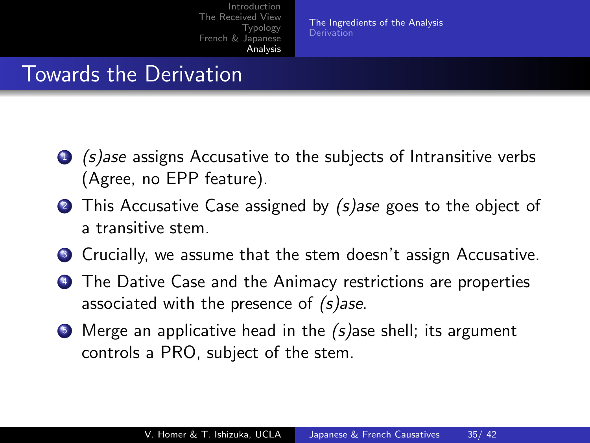[The Ingredients of the Analysis](#page-34-0) **[Derivation](#page-35-0)** 

#### Towards the Derivation

- <sup>1</sup> (s)ase assigns Accusative to the subjects of Intransitive verbs (Agree, no EPP feature).
- 2 This Accusative Case assigned by (s)ase goes to the object of a transitive stem.
- **3** Crucially, we assume that the stem doesn't assign Accusative.
- <sup>4</sup> The Dative Case and the Animacy restrictions are properties associated with the presence of (s)ase.
- <span id="page-34-0"></span> $\bullet$  Merge an applicative head in the (s) ase shell; its argument controls a PRO, subject of the stem.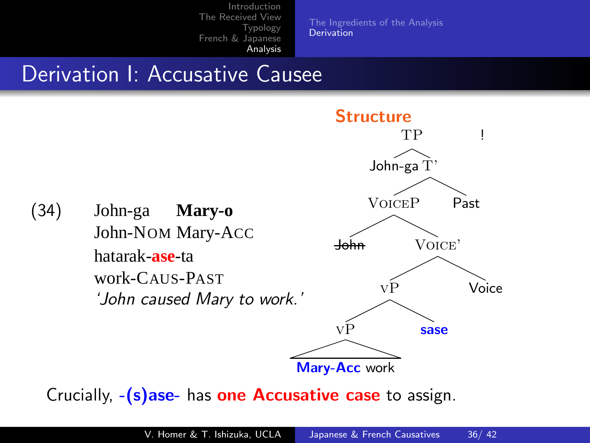[The Ingredients of the Analysis](#page-34-0) [Derivation](#page-35-0)

## Derivation I: Accusative Causee



<span id="page-35-0"></span>Crucially,  $-(s)$ ase- has one Accusative case to assign.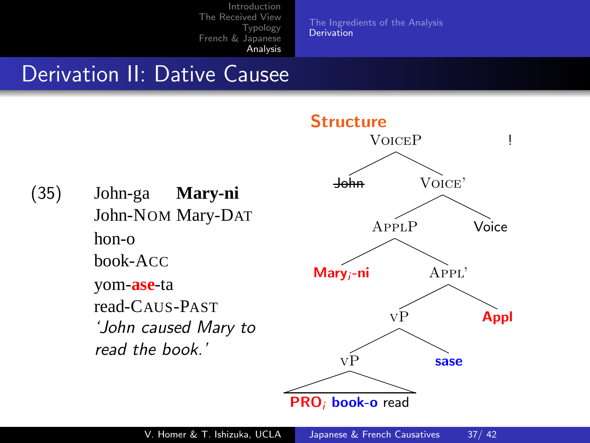[The Ingredients of the Analysis](#page-34-0) [Derivation](#page-35-0)

#### Derivation II: Dative Causee

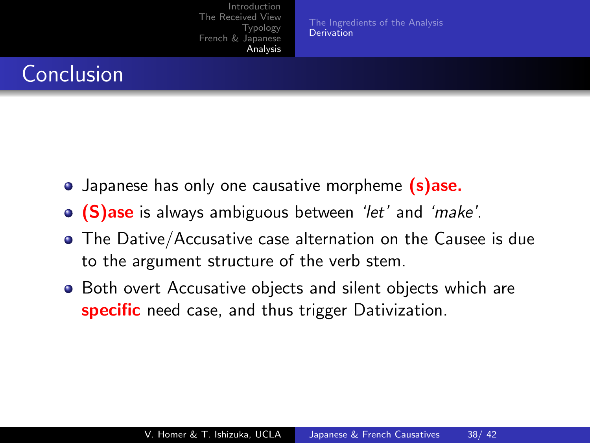[Introduction](#page-1-0) [The Received View](#page-4-0) **[Typology](#page-12-0)** [French & Japanese](#page-29-0) [Analysis](#page-34-0) [The Ingredients of the Analysis](#page-34-0) [Derivation](#page-35-0) Conclusion • Japanese has only one causative morpheme (s)ase.

- **(S)ase** is always ambiguous between 'let' and 'make'.
- The Dative/Accusative case alternation on the Causee is due to the argument structure of the verb stem.
- **•** Both overt Accusative objects and silent objects which are specific need case, and thus trigger Dativization.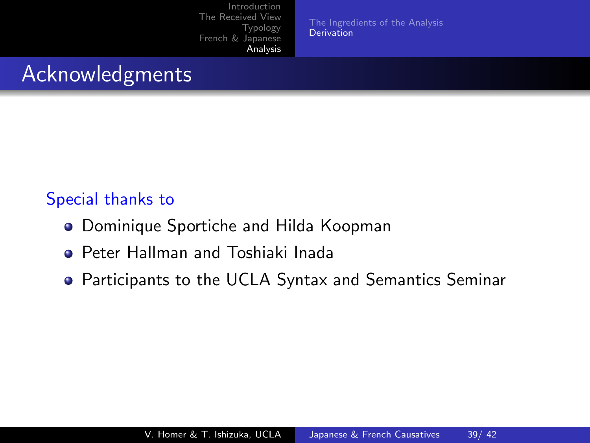[Introduction](#page-1-0) [The Received View](#page-4-0) **[Typology](#page-12-0)** [French & Japanese](#page-29-0) [Analysis](#page-34-0) [The Ingredients of the Analysis](#page-34-0) [Derivation](#page-35-0) Acknowledgments Special thanks to

- **Dominique Sportiche and Hilda Koopman**
- **Peter Hallman and Toshiaki Inada**
- <span id="page-38-0"></span>Participants to the UCLA Syntax and Semantics Seminar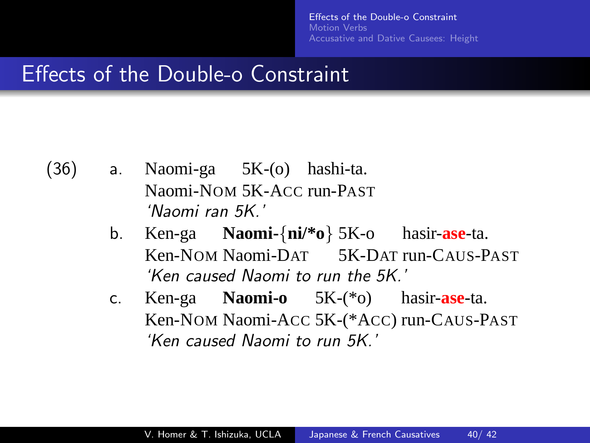<span id="page-39-0"></span>fects of the Double-o Constraint Motion *Verbs* [Accusative and Dative Causees: Height](#page-41-0)

#### Effects of the Double-o Constraint

- (36) a. Naomi-ga 5K-(o) hashi-ta. Naomi-NOM 5K-ACC run-PAST 'Naomi ran 5K.'
	- b. Ken-ga **Naomi-**{**ni/\*o**} 5K-o hasir-**ase**-ta. Ken-NOM Naomi-DAT 5K-DAT run-CAUS-PAST 'Ken caused Naomi to run the 5K.'
	- c. Ken-ga **Naomi-o** 5K-(\*o) hasir-**ase**-ta. Ken-NOM Naomi-ACC 5K-(\*ACC) run-CAUS-PAST 'Ken caused Naomi to run 5K.'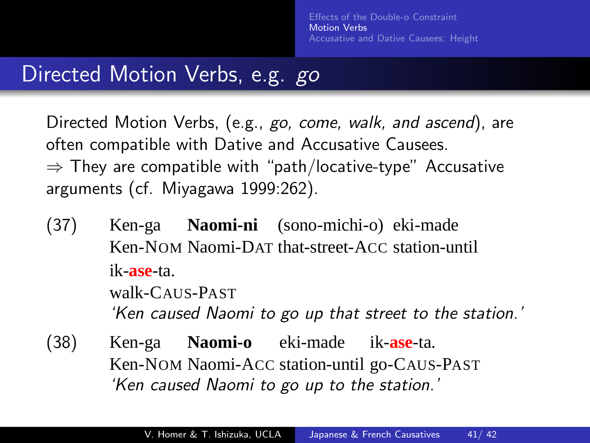#### Directed Motion Verbs, e.g. go

Directed Motion Verbs, (e.g., go, come, walk, and ascend), are often compatible with Dative and Accusative Causees.  $\Rightarrow$  They are compatible with "path/locative-type" Accusative arguments (cf. Miyagawa 1999:262).

- (37) Ken-ga **Naomi-ni** (sono-michi-o) eki-made Ken-NOM Naomi-DAT that-street-ACC station-until ik-**ase**-ta. walk-CAUS-PAST 'Ken caused Naomi to go up that street to the station.'
- <span id="page-40-0"></span>(38) Ken-ga Ken-NOM Naomi-ACC station-until go-CAUS-PAST **Naomi-o** eki-made ik-**ase**-ta. 'Ken caused Naomi to go up to the station.'